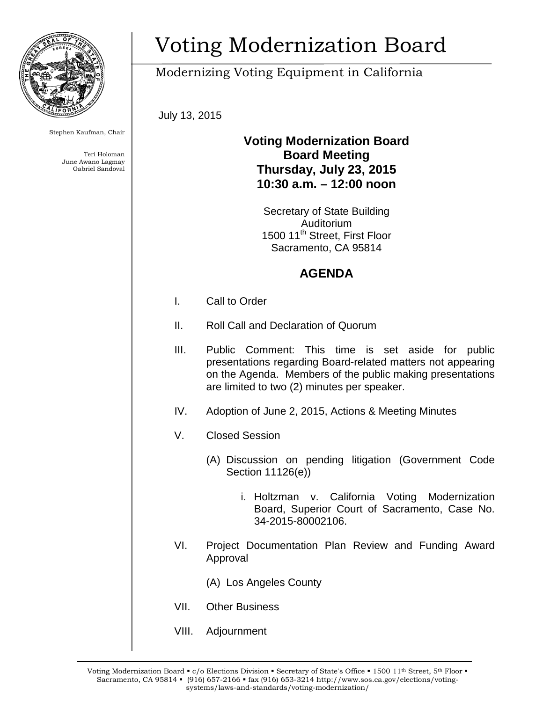

Stephen Kaufman, Chair

Teri Holoman June Awano Lagmay Gabriel Sandoval

# Voting Modernization Board

## Modernizing Voting Equipment in California

July 13, 2015

#### **Voting Modernization Board Board Meeting Thursday, July 23, 2015 10:30 a.m. – 12:00 noon**

Secretary of State Building Auditorium 1500 11<sup>th</sup> Street, First Floor Sacramento, CA 95814

### **AGENDA**

- I. Call to Order
- II. Roll Call and Declaration of Quorum
- III. Public Comment: This time is set aside for public presentations regarding Board-related matters not appearing on the Agenda. Members of the public making presentations are limited to two (2) minutes per speaker.
- IV. Adoption of June 2, 2015, Actions & Meeting Minutes
- V. Closed Session
	- (A) Discussion on pending litigation (Government Code Section 11126(e))
		- i. Holtzman v. California Voting Modernization Board, Superior Court of Sacramento, Case No. 34-2015-80002106.
- VI. Project Documentation Plan Review and Funding Award Approval
	- (A) Los Angeles County
- VII. Other Business
- VIII. Adjournment